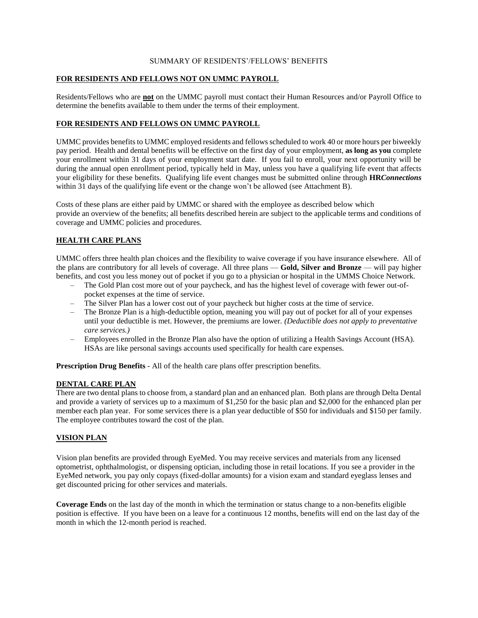### SUMMARY OF RESIDENTS'/FELLOWS' BENEFITS

### **FOR RESIDENTS AND FELLOWS NOT ON UMMC PAYROLL**

Residents/Fellows who are **not** on the UMMC payroll must contact their Human Resources and/or Payroll Office to determine the benefits available to them under the terms of their employment.

## **FOR RESIDENTS AND FELLOWS ON UMMC PAYROLL**

UMMC provides benefits to UMMC employed residents and fellows scheduled to work 40 or more hours per biweekly pay period. Health and dental benefits will be effective on the first day of your employment, **as long as you** complete your enrollment within 31 days of your employment start date. If you fail to enroll, your next opportunity will be during the annual open enrollment period, typically held in May, unless you have a qualifying life event that affects your eligibility for these benefits. Qualifying life event changes must be submitted online through **HR***Connections* within 31 days of the qualifying life event or the change won't be allowed (see Attachment B).

Costs of these plans are either paid by UMMC or shared with the employee as described below which provide an overview of the benefits; all benefits described herein are subject to the applicable terms and conditions of coverage and UMMC policies and procedures.

# **HEALTH CARE PLANS**

UMMC offers three health plan choices and the flexibility to waive coverage if you have insurance elsewhere. All of the plans are contributory for all levels of coverage. All three plans — **Gold, Silver and Bronze** — will pay higher benefits, and cost you less money out of pocket if you go to a physician or hospital in the UMMS Choice Network.

- The Gold Plan cost more out of your paycheck, and has the highest level of coverage with fewer out-ofpocket expenses at the time of service.
- The Silver Plan has a lower cost out of your paycheck but higher costs at the time of service.
- The Bronze Plan is a high-deductible option, meaning you will pay out of pocket for all of your expenses until your deductible is met. However, the premiums are lower. *(Deductible does not apply to preventative care services.)*
- Employees enrolled in the Bronze Plan also have the option of utilizing a Health Savings Account (HSA). HSAs are like personal savings accounts used specifically for health care expenses.

**Prescription Drug Benefits** - All of the health care plans offer prescription benefits.

# **DENTAL CARE PLAN**

There are two dental plans to choose from, a standard plan and an enhanced plan. Both plans are through Delta Dental and provide a variety of services up to a maximum of \$1,250 for the basic plan and \$2,000 for the enhanced plan per member each plan year. For some services there is a plan year deductible of \$50 for individuals and \$150 per family. The employee contributes toward the cost of the plan.

# **VISION PLAN**

Vision plan benefits are provided through EyeMed. You may receive services and materials from any licensed optometrist, ophthalmologist, or dispensing optician, including those in retail locations. If you see a provider in the EyeMed network, you pay only copays (fixed-dollar amounts) for a vision exam and standard eyeglass lenses and get discounted pricing for other services and materials.

**Coverage Ends** on the last day of the month in which the termination or status change to a non-benefits eligible position is effective. If you have been on a leave for a continuous 12 months, benefits will end on the last day of the month in which the 12-month period is reached.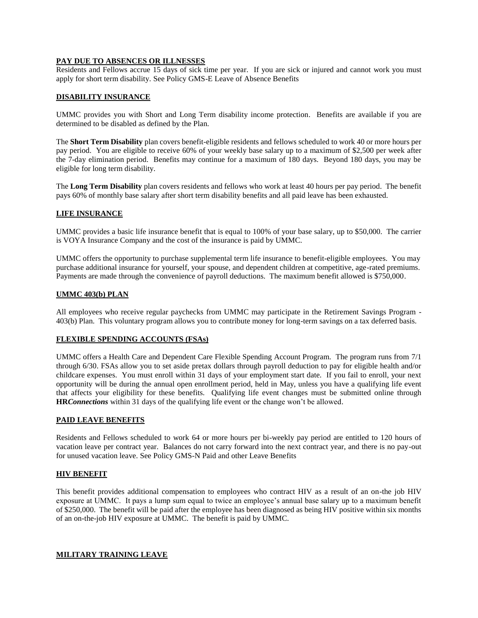### **PAY DUE TO ABSENCES OR ILLNESSES**

Residents and Fellows accrue 15 days of sick time per year. If you are sick or injured and cannot work you must apply for short term disability. See Policy GMS-E Leave of Absence Benefits

### **DISABILITY INSURANCE**

UMMC provides you with Short and Long Term disability income protection. Benefits are available if you are determined to be disabled as defined by the Plan.

The **Short Term Disability** plan covers benefit-eligible residents and fellows scheduled to work 40 or more hours per pay period. You are eligible to receive 60% of your weekly base salary up to a maximum of \$2,500 per week after the 7-day elimination period. Benefits may continue for a maximum of 180 days. Beyond 180 days, you may be eligible for long term disability.

The **Long Term Disability** plan covers residents and fellows who work at least 40 hours per pay period. The benefit pays 60% of monthly base salary after short term disability benefits and all paid leave has been exhausted.

### **LIFE INSURANCE**

UMMC provides a basic life insurance benefit that is equal to 100% of your base salary, up to \$50,000. The carrier is VOYA Insurance Company and the cost of the insurance is paid by UMMC.

UMMC offers the opportunity to purchase supplemental term life insurance to benefit-eligible employees. You may purchase additional insurance for yourself, your spouse, and dependent children at competitive, age-rated premiums. Payments are made through the convenience of payroll deductions. The maximum benefit allowed is \$750,000.

### **UMMC 403(b) PLAN**

All employees who receive regular paychecks from UMMC may participate in the Retirement Savings Program - 403(b) Plan. This voluntary program allows you to contribute money for long-term savings on a tax deferred basis.

### **FLEXIBLE SPENDING ACCOUNTS (FSAs)**

UMMC offers a Health Care and Dependent Care Flexible Spending Account Program. The program runs from 7/1 through 6/30. FSAs allow you to set aside pretax dollars through payroll deduction to pay for eligible health and/or childcare expenses. You must enroll within 31 days of your employment start date. If you fail to enroll, your next opportunity will be during the annual open enrollment period, held in May, unless you have a qualifying life event that affects your eligibility for these benefits. Qualifying life event changes must be submitted online through **HR***Connections* within 31 days of the qualifying life event or the change won't be allowed.

### **PAID LEAVE BENEFITS**

Residents and Fellows scheduled to work 64 or more hours per bi-weekly pay period are entitled to 120 hours of vacation leave per contract year. Balances do not carry forward into the next contract year, and there is no pay-out for unused vacation leave. See Policy GMS-N Paid and other Leave Benefits

### **HIV BENEFIT**

This benefit provides additional compensation to employees who contract HIV as a result of an on-the job HIV exposure at UMMC. It pays a lump sum equal to twice an employee's annual base salary up to a maximum benefit of \$250,000. The benefit will be paid after the employee has been diagnosed as being HIV positive within six months of an on-the-job HIV exposure at UMMC. The benefit is paid by UMMC.

#### **MILITARY TRAINING LEAVE**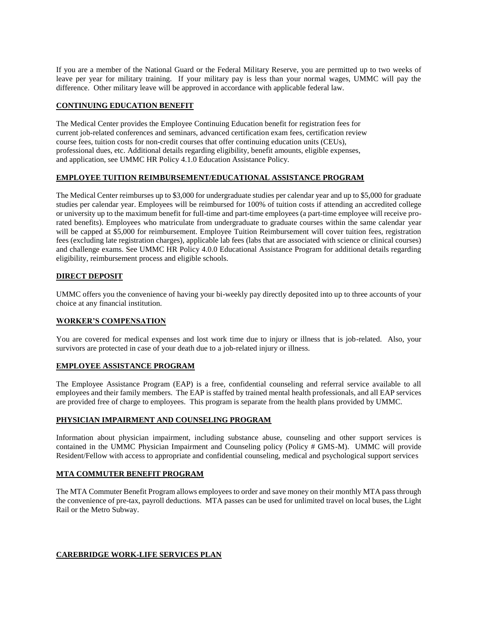If you are a member of the National Guard or the Federal Military Reserve, you are permitted up to two weeks of leave per year for military training. If your military pay is less than your normal wages, UMMC will pay the difference. Other military leave will be approved in accordance with applicable federal law.

### **CONTINUING EDUCATION BENEFIT**

The Medical Center provides the Employee Continuing Education benefit for registration fees for current job-related conferences and seminars, advanced certification exam fees, certification review course fees, tuition costs for non-credit courses that offer continuing education units (CEUs), professional dues, etc. Additional details regarding eligibility, benefit amounts, eligible expenses, and application, see UMMC HR Policy 4.1.0 Education Assistance Policy.

## **EMPLOYEE TUITION REIMBURSEMENT/EDUCATIONAL ASSISTANCE PROGRAM**

The Medical Center reimburses up to \$3,000 for undergraduate studies per calendar year and up to \$5,000 for graduate studies per calendar year. Employees will be reimbursed for 100% of tuition costs if attending an accredited college or university up to the maximum benefit for full-time and part-time employees (a part-time employee will receive prorated benefits). Employees who matriculate from undergraduate to graduate courses within the same calendar year will be capped at \$5,000 for reimbursement. Employee Tuition Reimbursement will cover tuition fees, registration fees (excluding late registration charges), applicable lab fees (labs that are associated with science or clinical courses) and challenge exams. See UMMC HR Policy 4.0.0 Educational Assistance Program for additional details regarding eligibility, reimbursement process and eligible schools.

## **DIRECT DEPOSIT**

UMMC offers you the convenience of having your bi-weekly pay directly deposited into up to three accounts of your choice at any financial institution.

### **WORKER'S COMPENSATION**

You are covered for medical expenses and lost work time due to injury or illness that is job-related. Also, your survivors are protected in case of your death due to a job-related injury or illness.

### **EMPLOYEE ASSISTANCE PROGRAM**

The Employee Assistance Program (EAP) is a free, confidential counseling and referral service available to all employees and their family members. The EAP is staffed by trained mental health professionals, and all EAP services are provided free of charge to employees. This program is separate from the health plans provided by UMMC.

### **PHYSICIAN IMPAIRMENT AND COUNSELING PROGRAM**

Information about physician impairment, including substance abuse, counseling and other support services is contained in the UMMC Physician Impairment and Counseling policy (Policy # GMS-M). UMMC will provide Resident/Fellow with access to appropriate and confidential counseling, medical and psychological support services

### **MTA COMMUTER BENEFIT PROGRAM**

The MTA Commuter Benefit Program allows employees to order and save money on their monthly MTA pass through the convenience of pre-tax, payroll deductions. MTA passes can be used for unlimited travel on local buses, the Light Rail or the Metro Subway.

### **CAREBRIDGE WORK-LIFE SERVICES PLAN**